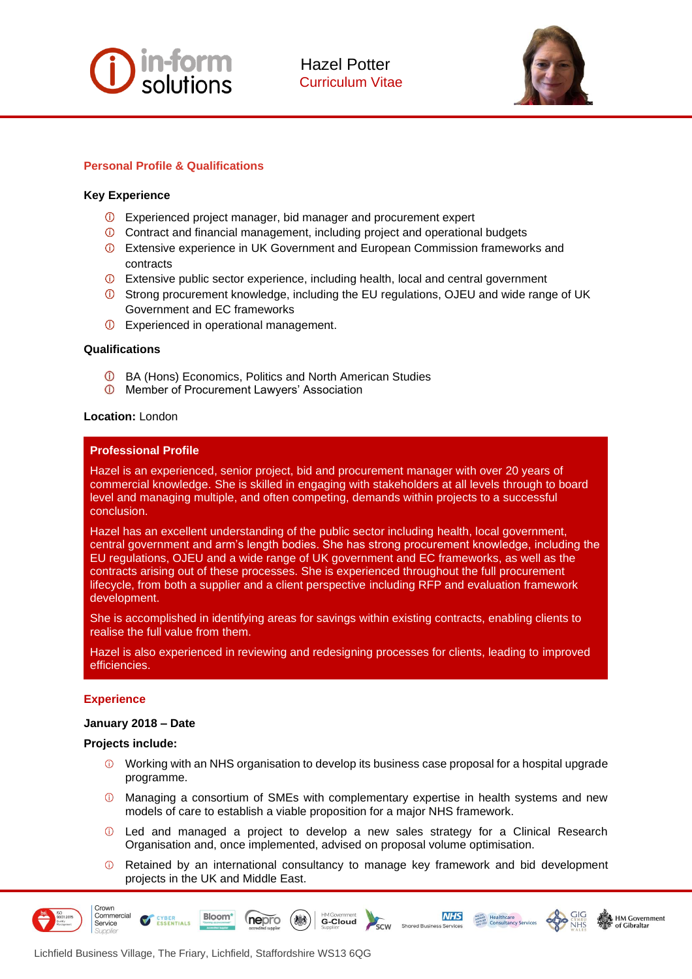



# **Personal Profile & Qualifications**

## **Key Experience**

- Experienced project manager, bid manager and procurement expert
- Contract and financial management, including project and operational budgets
- Extensive experience in UK Government and European Commission frameworks and contracts
- Extensive public sector experience, including health, local and central government
- Strong procurement knowledge, including the EU regulations, OJEU and wide range of UK Government and EC frameworks
- **D** Experienced in operational management.

## **Qualifications**

- BA (Hons) Economics, Politics and North American Studies
- **O** Member of Procurement Lawyers' Association

## **Location:** London

## **Professional Profile**

Hazel is an experienced, senior project, bid and procurement manager with over 20 years of commercial knowledge. She is skilled in engaging with stakeholders at all levels through to board level and managing multiple, and often competing, demands within projects to a successful conclusion.

Hazel has an excellent understanding of the public sector including health, local government, central government and arm's length bodies. She has strong procurement knowledge, including the EU regulations, OJEU and a wide range of UK government and EC frameworks, as well as the contracts arising out of these processes. She is experienced throughout the full procurement lifecycle, from both a supplier and a client perspective including RFP and evaluation framework development.

She is accomplished in identifying areas for savings within existing contracts, enabling clients to realise the full value from them.

Hazel is also experienced in reviewing and redesigning processes for clients, leading to improved efficiencies.

## **Experience**

## **January 2018 – Date**

## **Projects include:**

- $\odot$  Working with an NHS organisation to develop its business case proposal for a hospital upgrade programme.
- Managing a consortium of SMEs with complementary expertise in health systems and new models of care to establish a viable proposition for a major NHS framework.
- Led and managed a project to develop a new sales strategy for a Clinical Research Organisation and, once implemented, advised on proposal volume optimisation.
- $\odot$ Retained by an international consultancy to manage key framework and bid development projects in the UK and Middle East.

 $\overline{\text{sc}}$ w

G-Cloud

**NHS** 

HM Government



Crown Commercial

Service



**ESSENTIALS** 

**Bloom** 

nepro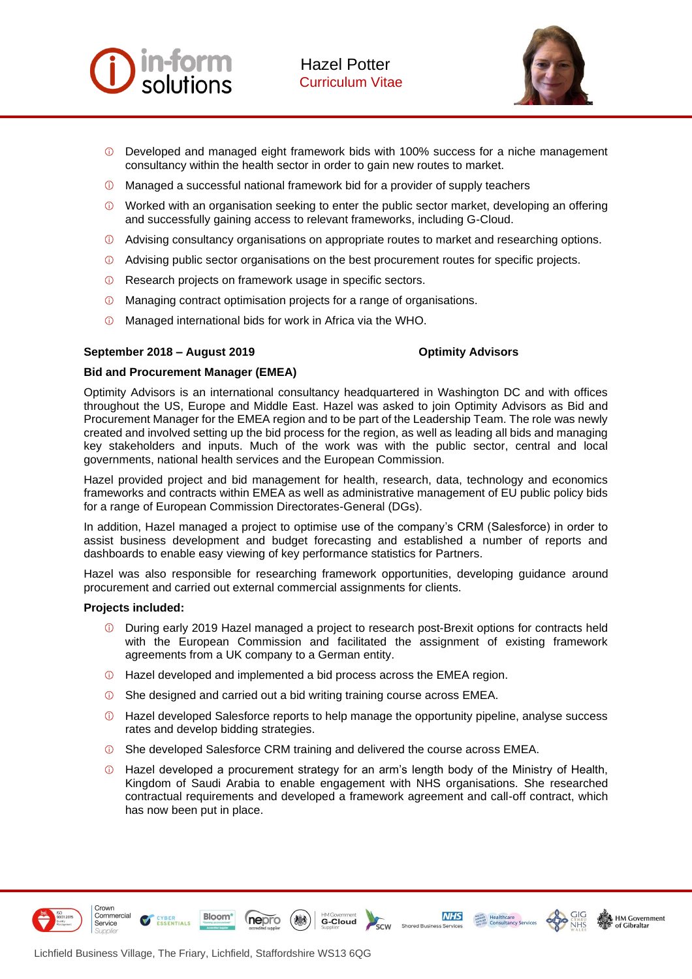



- Developed and managed eight framework bids with 100% success for a niche management consultancy within the health sector in order to gain new routes to market.
- $\circled{1}$  Managed a successful national framework bid for a provider of supply teachers
- Worked with an organisation seeking to enter the public sector market, developing an offering and successfully gaining access to relevant frameworks, including G-Cloud.
- Advising consultancy organisations on appropriate routes to market and researching options.
- Advising public sector organisations on the best procurement routes for specific projects.
- **C** Research projects on framework usage in specific sectors.
- Managing contract optimisation projects for a range of organisations.
- Managed international bids for work in Africa via the WHO.

### **September 2018 – August 2019 Optimity Advisors**

### **Bid and Procurement Manager (EMEA)**

Optimity Advisors is an international consultancy headquartered in Washington DC and with offices throughout the US, Europe and Middle East. Hazel was asked to join Optimity Advisors as Bid and Procurement Manager for the EMEA region and to be part of the Leadership Team. The role was newly created and involved setting up the bid process for the region, as well as leading all bids and managing key stakeholders and inputs. Much of the work was with the public sector, central and local governments, national health services and the European Commission.

Hazel provided project and bid management for health, research, data, technology and economics frameworks and contracts within EMEA as well as administrative management of EU public policy bids for a range of European Commission Directorates-General (DGs).

In addition, Hazel managed a project to optimise use of the company's CRM (Salesforce) in order to assist business development and budget forecasting and established a number of reports and dashboards to enable easy viewing of key performance statistics for Partners.

Hazel was also responsible for researching framework opportunities, developing guidance around procurement and carried out external commercial assignments for clients.

### **Projects included:**

- $\bigcirc$ During early 2019 Hazel managed a project to research post-Brexit options for contracts held with the European Commission and facilitated the assignment of existing framework agreements from a UK company to a German entity.
- $\odot$  Hazel developed and implemented a bid process across the EMEA region.
- She designed and carried out a bid writing training course across EMEA.
- Hazel developed Salesforce reports to help manage the opportunity pipeline, analyse success rates and develop bidding strategies.
- She developed Salesforce CRM training and delivered the course across EMEA.
- Hazel developed a procurement strategy for an arm's length body of the Ministry of Health, Kingdom of Saudi Arabia to enable engagement with NHS organisations. She researched contractual requirements and developed a framework agreement and call-off contract, which has now been put in place.

G-Cloud

 $\overline{\text{sc}}$ w

**NHS** 

**MARK Realthcare**<br>
MARK Healthcare<br>
MARK Consultancy Service

**HM Government** 



Crown

Service

Commercial

ESSENTIALS

**Bloom** 

nepro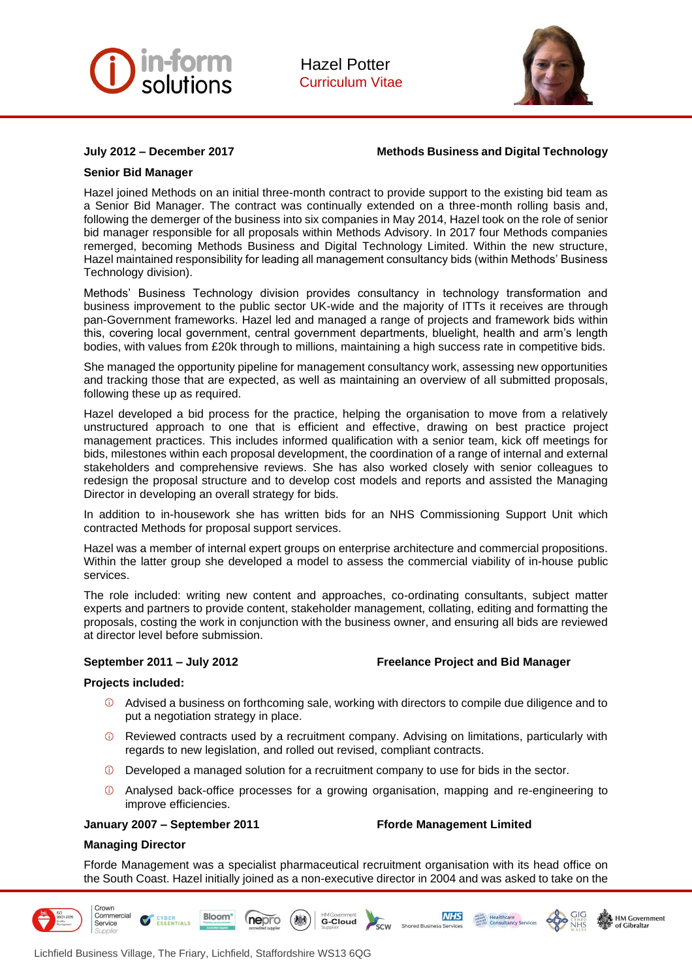



## **July 2012 – December 2017 Methods Business and Digital Technology**

## **Senior Bid Manager**

Hazel joined Methods on an initial three-month contract to provide support to the existing bid team as a Senior Bid Manager. The contract was continually extended on a three-month rolling basis and, following the demerger of the business into six companies in May 2014, Hazel took on the role of senior bid manager responsible for all proposals within Methods Advisory. In 2017 four Methods companies remerged, becoming Methods Business and Digital Technology Limited. Within the new structure, Hazel maintained responsibility for leading all management consultancy bids (within Methods' Business Technology division).

Methods' Business Technology division provides consultancy in technology transformation and business improvement to the public sector UK-wide and the majority of ITTs it receives are through pan-Government frameworks. Hazel led and managed a range of projects and framework bids within this, covering local government, central government departments, bluelight, health and arm's length bodies, with values from £20k through to millions, maintaining a high success rate in competitive bids.

She managed the opportunity pipeline for management consultancy work, assessing new opportunities and tracking those that are expected, as well as maintaining an overview of all submitted proposals, following these up as required.

Hazel developed a bid process for the practice, helping the organisation to move from a relatively unstructured approach to one that is efficient and effective, drawing on best practice project management practices. This includes informed qualification with a senior team, kick off meetings for bids, milestones within each proposal development, the coordination of a range of internal and external stakeholders and comprehensive reviews. She has also worked closely with senior colleagues to redesign the proposal structure and to develop cost models and reports and assisted the Managing Director in developing an overall strategy for bids.

In addition to in-housework she has written bids for an NHS Commissioning Support Unit which contracted Methods for proposal support services.

Hazel was a member of internal expert groups on enterprise architecture and commercial propositions. Within the latter group she developed a model to assess the commercial viability of in-house public services.

The role included: writing new content and approaches, co-ordinating consultants, subject matter experts and partners to provide content, stakeholder management, collating, editing and formatting the proposals, costing the work in conjunction with the business owner, and ensuring all bids are reviewed at director level before submission.

## **September 2011 – July 2012 Freelance Project and Bid Manager**

## **Projects included:**

- Advised a business on forthcoming sale, working with directors to compile due diligence and to put a negotiation strategy in place.
- $\bigcap$ Reviewed contracts used by a recruitment company. Advising on limitations, particularly with regards to new legislation, and rolled out revised, compliant contracts.
- Developed a managed solution for a recruitment company to use for bids in the sector.
- Analysed back-office processes for a growing organisation, mapping and re-engineering to improve efficiencies.

### **January 2007 – September 2011 Fforde Management Limited**

ESSENTIALS

**NHS** 

**MARK Healthcare**<br>
MARK Healthcare<br>
MARK Consultancy Services

**& HM Government** 

### **Managing Director**

Crown Commercial

Service

Fforde Management was a specialist pharmaceutical recruitment organisation with its head office on the South Coast. Hazel initially joined as a non-executive director in 2004 and was asked to take on the

G-Cloud

scw

Shared B



nepro

**Bloom**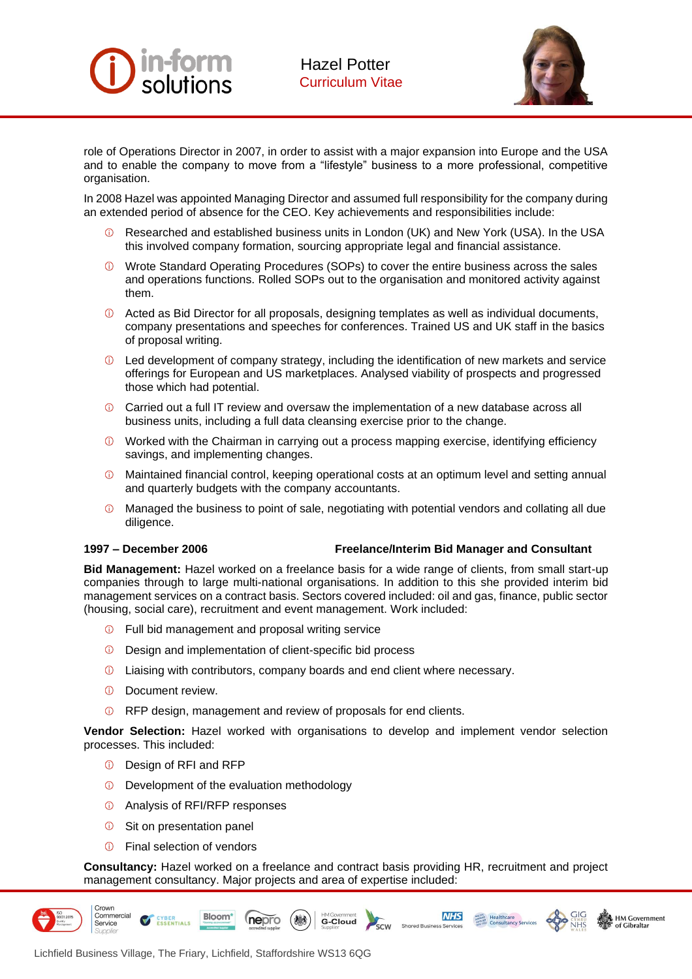



role of Operations Director in 2007, in order to assist with a major expansion into Europe and the USA and to enable the company to move from a "lifestyle" business to a more professional, competitive organisation.

In 2008 Hazel was appointed Managing Director and assumed full responsibility for the company during an extended period of absence for the CEO. Key achievements and responsibilities include:

- Researched and established business units in London (UK) and New York (USA). In the USA this involved company formation, sourcing appropriate legal and financial assistance.
- Wrote Standard Operating Procedures (SOPs) to cover the entire business across the sales and operations functions. Rolled SOPs out to the organisation and monitored activity against them.
- Acted as Bid Director for all proposals, designing templates as well as individual documents, company presentations and speeches for conferences. Trained US and UK staff in the basics of proposal writing.
- Led development of company strategy, including the identification of new markets and service offerings for European and US marketplaces. Analysed viability of prospects and progressed those which had potential.
- Carried out a full IT review and oversaw the implementation of a new database across all business units, including a full data cleansing exercise prior to the change.
- Worked with the Chairman in carrying out a process mapping exercise, identifying efficiency savings, and implementing changes.
- Maintained financial control, keeping operational costs at an optimum level and setting annual and quarterly budgets with the company accountants.
- $\omega$ Managed the business to point of sale, negotiating with potential vendors and collating all due diligence.

## **1997 – December 2006 Freelance/Interim Bid Manager and Consultant**

**Marget**<br>
Marget Healthcare<br> *MARGE* **Consultancy Service** 

HM Government

**NHS** 

**Bid Management:** Hazel worked on a freelance basis for a wide range of clients, from small start-up companies through to large multi-national organisations. In addition to this she provided interim bid management services on a contract basis. Sectors covered included: oil and gas, finance, public sector (housing, social care), recruitment and event management. Work included:

- *O* Full bid management and proposal writing service
- **D** Design and implementation of client-specific bid process
- Liaising with contributors, company boards and end client where necessary.
- *<u>D</u>* Document review.
- **C** RFP design, management and review of proposals for end clients.

**Vendor Selection:** Hazel worked with organisations to develop and implement vendor selection processes. This included:

- Design of RFI and RFP
- $\overline{0}$  Development of the evaluation methodology
- Analysis of RFI/RFP responses
- **C** Sit on presentation panel
- *G* Final selection of vendors

**Consultancy:** Hazel worked on a freelance and contract basis providing HR, recruitment and project management consultancy. Major projects and area of expertise included:

> scw Sho



Crown

Commercial



**Bloom** 

Lichfield Business Village, The Friary, Lichfield, Staffordshire WS13 6QG